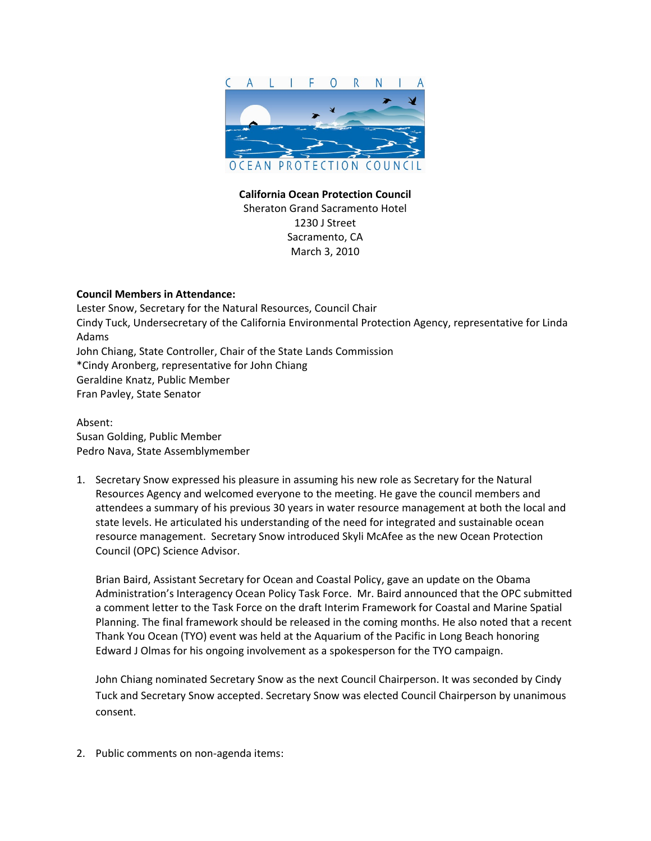

**California Ocean Protection Council** Sheraton Grand Sacramento Hotel 1230 J Street Sacramento, CA March 3, 2010

## **Council Members in Attendance:**

Lester Snow, Secretary for the Natural Resources, Council Chair Cindy Tuck, Undersecretary of the California Environmental Protection Agency, representative for Linda Adams John Chiang, State Controller, Chair of the State Lands Commission \*Cindy Aronberg, representative for John Chiang Geraldine Knatz, Public Member Fran Pavley, State Senator

Absent: Susan Golding, Public Member Pedro Nava, State Assemblymember

1. Secretary Snow expressed his pleasure in assuming his new role as Secretary for the Natural Resources Agency and welcomed everyone to the meeting. He gave the council members and attendees a summary of his previous 30 years in water resource management at both the local and state levels. He articulated his understanding of the need for integrated and sustainable ocean resource management. Secretary Snow introduced Skyli McAfee as the new Ocean Protection Council (OPC) Science Advisor.

Brian Baird, Assistant Secretary for Ocean and Coastal Policy, gave an update on the Obama Administration's Interagency Ocean Policy Task Force. Mr. Baird announced that the OPC submitted a comment letter to the Task Force on the draft Interim Framework for Coastal and Marine Spatial Planning. The final framework should be released in the coming months. He also noted that a recent Thank You Ocean (TYO) event was held at the Aquarium of the Pacific in Long Beach honoring Edward J Olmas for his ongoing involvement as a spokesperson for the TYO campaign.

John Chiang nominated Secretary Snow as the next Council Chairperson. It was seconded by Cindy Tuck and Secretary Snow accepted. Secretary Snow was elected Council Chairperson by unanimous consent.

2. Public comments on non‐agenda items: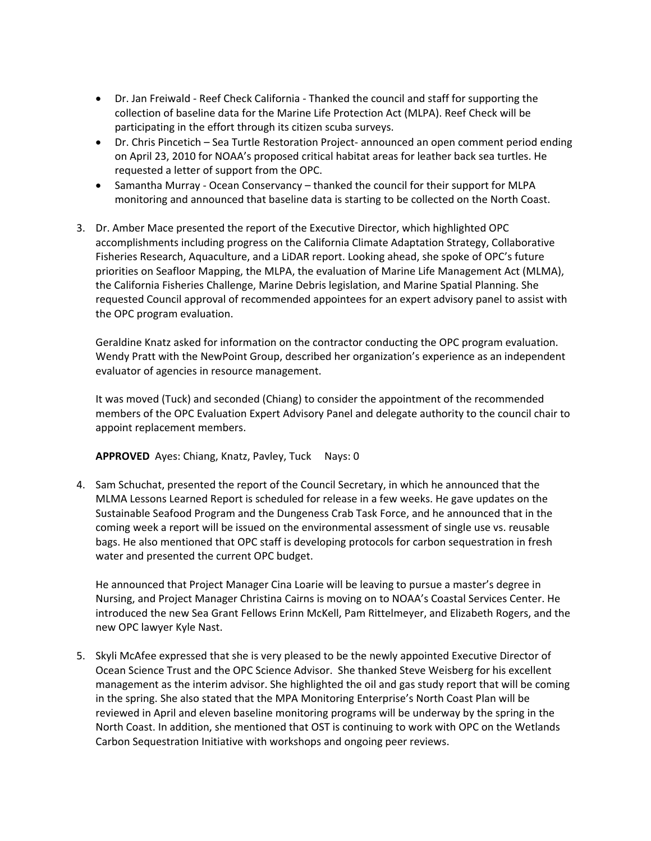- Dr. Jan Freiwald ‐ Reef Check California ‐ Thanked the council and staff for supporting the collection of baseline data for the Marine Life Protection Act (MLPA). Reef Check will be participating in the effort through its citizen scuba surveys.
- Dr. Chris Pincetich Sea Turtle Restoration Project- announced an open comment period ending on April 23, 2010 for NOAA's proposed critical habitat areas for leather back sea turtles. He requested a letter of support from the OPC.
- Samantha Murray Ocean Conservancy thanked the council for their support for MLPA monitoring and announced that baseline data is starting to be collected on the North Coast.
- 3. Dr. Amber Mace presented the report of the Executive Director, which highlighted OPC accomplishments including progress on the California Climate Adaptation Strategy, Collaborative Fisheries Research, Aquaculture, and a LiDAR report. Looking ahead, she spoke of OPC's future priorities on Seafloor Mapping, the MLPA, the evaluation of Marine Life Management Act (MLMA), the California Fisheries Challenge, Marine Debris legislation, and Marine Spatial Planning. She requested Council approval of recommended appointees for an expert advisory panel to assist with the OPC program evaluation.

Geraldine Knatz asked for information on the contractor conducting the OPC program evaluation. Wendy Pratt with the NewPoint Group, described her organization's experience as an independent evaluator of agencies in resource management.

It was moved (Tuck) and seconded (Chiang) to consider the appointment of the recommended members of the OPC Evaluation Expert Advisory Panel and delegate authority to the council chair to appoint replacement members.

**APPROVED** Ayes: Chiang, Knatz, Pavley, Tuck Nays: 0

4. Sam Schuchat, presented the report of the Council Secretary, in which he announced that the MLMA Lessons Learned Report is scheduled for release in a few weeks. He gave updates on the Sustainable Seafood Program and the Dungeness Crab Task Force, and he announced that in the coming week a report will be issued on the environmental assessment of single use vs. reusable bags. He also mentioned that OPC staff is developing protocols for carbon sequestration in fresh water and presented the current OPC budget.

He announced that Project Manager Cina Loarie will be leaving to pursue a master's degree in Nursing, and Project Manager Christina Cairns is moving on to NOAA's Coastal Services Center. He introduced the new Sea Grant Fellows Erinn McKell, Pam Rittelmeyer, and Elizabeth Rogers, and the new OPC lawyer Kyle Nast.

5. Skyli McAfee expressed that she is very pleased to be the newly appointed Executive Director of Ocean Science Trust and the OPC Science Advisor. She thanked Steve Weisberg for his excellent management as the interim advisor. She highlighted the oil and gas study report that will be coming in the spring. She also stated that the MPA Monitoring Enterprise's North Coast Plan will be reviewed in April and eleven baseline monitoring programs will be underway by the spring in the North Coast. In addition, she mentioned that OST is continuing to work with OPC on the Wetlands Carbon Sequestration Initiative with workshops and ongoing peer reviews.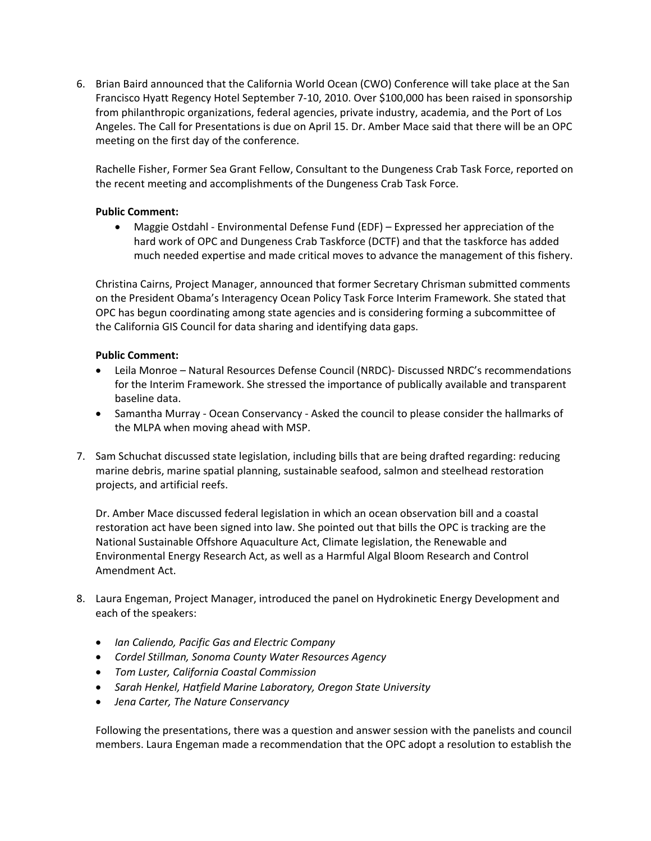6. Brian Baird announced that the California World Ocean (CWO) Conference will take place at the San Francisco Hyatt Regency Hotel September 7‐10, 2010. Over \$100,000 has been raised in sponsorship from philanthropic organizations, federal agencies, private industry, academia, and the Port of Los Angeles. The Call for Presentations is due on April 15. Dr. Amber Mace said that there will be an OPC meeting on the first day of the conference.

Rachelle Fisher, Former Sea Grant Fellow, Consultant to the Dungeness Crab Task Force, reported on the recent meeting and accomplishments of the Dungeness Crab Task Force.

## **Public Comment:**

● Maggie Ostdahl - Environmental Defense Fund (EDF) – Expressed her appreciation of the hard work of OPC and Dungeness Crab Taskforce (DCTF) and that the taskforce has added much needed expertise and made critical moves to advance the management of this fishery.

Christina Cairns, Project Manager, announced that former Secretary Chrisman submitted comments on the President Obama's Interagency Ocean Policy Task Force Interim Framework. She stated that OPC has begun coordinating among state agencies and is considering forming a subcommittee of the California GIS Council for data sharing and identifying data gaps.

## **Public Comment:**

- Leila Monroe Natural Resources Defense Council (NRDC)‐ Discussed NRDC's recommendations for the Interim Framework. She stressed the importance of publically available and transparent baseline data.
- Samantha Murray Ocean Conservancy Asked the council to please consider the hallmarks of the MLPA when moving ahead with MSP.
- 7. Sam Schuchat discussed state legislation, including bills that are being drafted regarding: reducing marine debris, marine spatial planning, sustainable seafood, salmon and steelhead restoration projects, and artificial reefs.

Dr. Amber Mace discussed federal legislation in which an ocean observation bill and a coastal restoration act have been signed into law. She pointed out that bills the OPC is tracking are the National Sustainable Offshore Aquaculture Act, Climate legislation, the Renewable and Environmental Energy Research Act, as well as a Harmful Algal Bloom Research and Control Amendment Act.

- 8. Laura Engeman, Project Manager, introduced the panel on Hydrokinetic Energy Development and each of the speakers:
	- *Ian Caliendo, Pacific Gas and Electric Company*
	- *Cordel Stillman, Sonoma County Water Resources Agency*
	- *Tom Luster, California Coastal Commission*
	- *Sarah Henkel, Hatfield Marine Laboratory, Oregon State University*
	- *Jena Carter, The Nature Conservancy*

Following the presentations, there was a question and answer session with the panelists and council members. Laura Engeman made a recommendation that the OPC adopt a resolution to establish the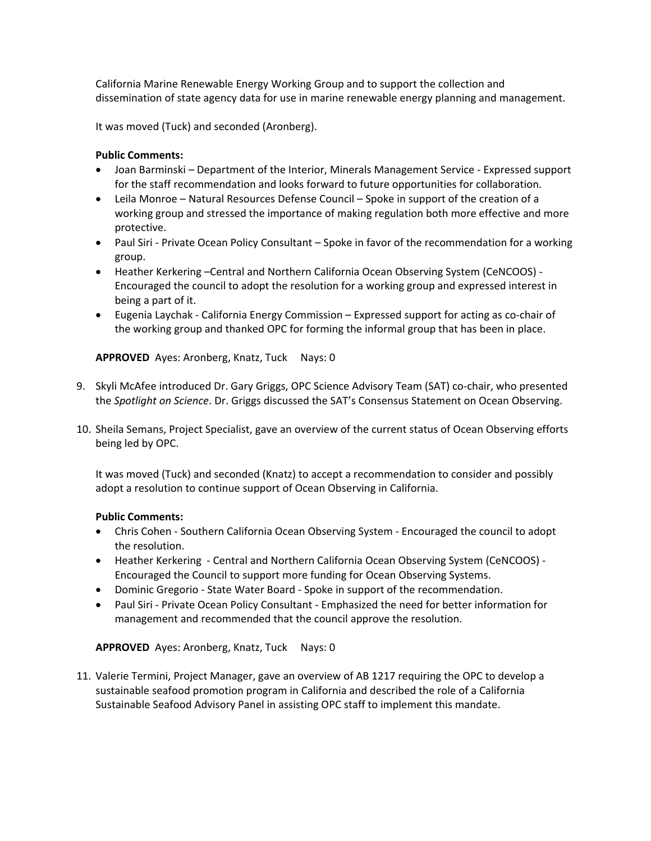California Marine Renewable Energy Working Group and to support the collection and dissemination of state agency data for use in marine renewable energy planning and management.

It was moved (Tuck) and seconded (Aronberg).

# **Public Comments:**

- Joan Barminski Department of the Interior, Minerals Management Service ‐ Expressed support for the staff recommendation and looks forward to future opportunities for collaboration.
- Leila Monroe Natural Resources Defense Council Spoke in support of the creation of a working group and stressed the importance of making regulation both more effective and more protective.
- Paul Siri Private Ocean Policy Consultant Spoke in favor of the recommendation for a working group.
- Heather Kerkering –Central and Northern California Ocean Observing System (CeNCOOS) -Encouraged the council to adopt the resolution for a working group and expressed interest in being a part of it.
- Eugenia Laychak California Energy Commission Expressed support for acting as co-chair of the working group and thanked OPC for forming the informal group that has been in place.

**APPROVED** Ayes: Aronberg, Knatz, Tuck Nays: 0

- 9. Skyli McAfee introduced Dr. Gary Griggs, OPC Science Advisory Team (SAT) co-chair, who presented the *Spotlight on Science*. Dr. Griggs discussed the SAT's Consensus Statement on Ocean Observing.
- 10. Sheila Semans, Project Specialist, gave an overview of the current status of Ocean Observing efforts being led by OPC.

It was moved (Tuck) and seconded (Knatz) to accept a recommendation to consider and possibly adopt a resolution to continue support of Ocean Observing in California.

### **Public Comments:**

- Chris Cohen ‐ Southern California Ocean Observing System ‐ Encouraged the council to adopt the resolution.
- Heather Kerkering Central and Northern California Ocean Observing System (CeNCOOS) -Encouraged the Council to support more funding for Ocean Observing Systems.
- Dominic Gregorio State Water Board Spoke in support of the recommendation.
- Paul Siri Private Ocean Policy Consultant Emphasized the need for better information for management and recommended that the council approve the resolution.

**APPROVED** Ayes: Aronberg, Knatz, Tuck Nays: 0

11. Valerie Termini, Project Manager, gave an overview of AB 1217 requiring the OPC to develop a sustainable seafood promotion program in California and described the role of a California Sustainable Seafood Advisory Panel in assisting OPC staff to implement this mandate.